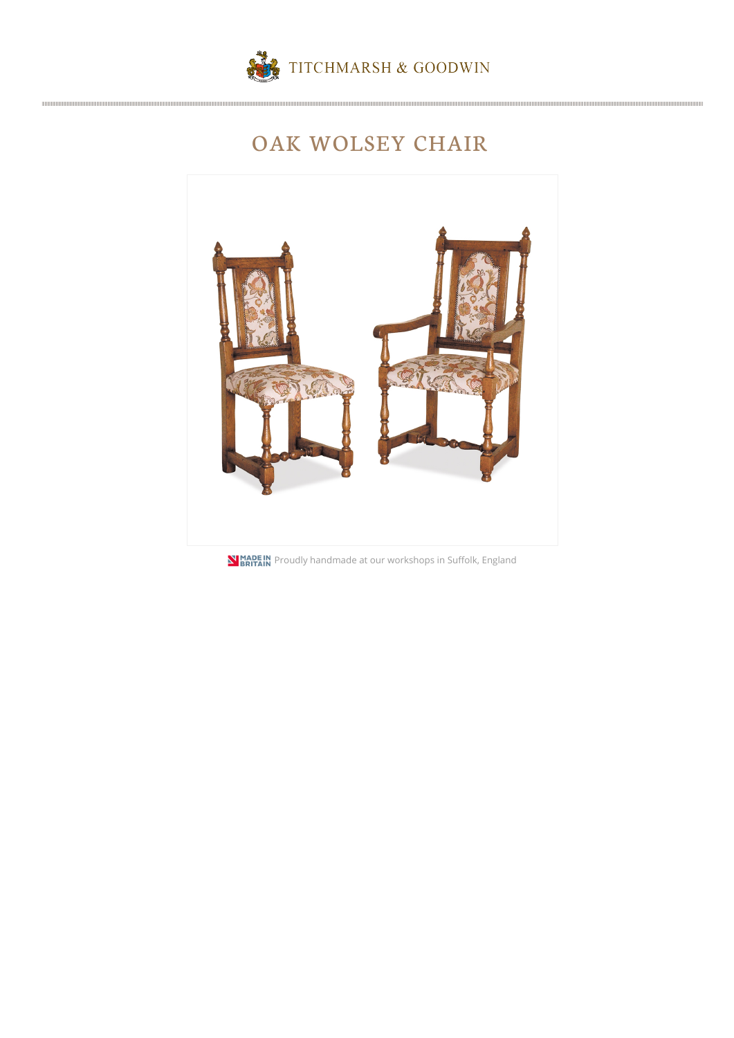

## OAK WOLSEY CHAIR